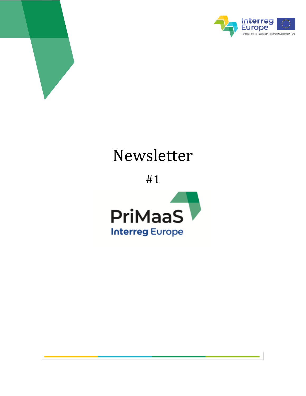



*Newsletter n.1 – June 2020*

# Newsletter

#1

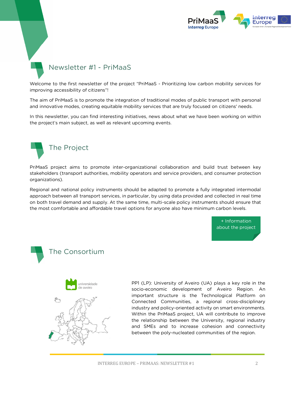

## Newsletter #1 - PriMaaS

Welcome to the first newsletter of the project "PriMaaS - Prioritizing low carbon mobility services for improving accessibility of citizens"!

The aim of PriMaaS is to promote the integration of traditional modes of public transport with personal and innovative modes, creating equitable mobility services that are truly focused on citizens' needs.

In this newsletter, you can find interesting initiatives, news about what we have been working on within the project's main subject, as well as relevant upcoming events.



PriMaaS project aims to promote inter-organizational collaboration and build trust between key stakeholders (transport authorities, mobility operators and service providers, and consumer protection organizations).

Regional and national policy instruments should be adapted to promote a fully integrated intermodal approach between all transport services, in particular, by using data provided and collected in real time on both travel demand and supply. At the same time, multi-scale policy instruments should ensure that the most comfortable and affordable travel options for anyone also have minimum carbon levels.





## The Consortium



PP1 (LP): University of Aveiro (UA) plays a key role in the socio-economic development of Aveiro Region. An important structure is the Technological Platform on Connected Communities, a regional cross-disciplinary industry and policy-oriented activity on smart environments. Within the PriMaaS project, UA will contribute to improve the relationship between the University, regional industry and SMEs and to increase cohesion and connectivity between the poly-nucleated communities of the region.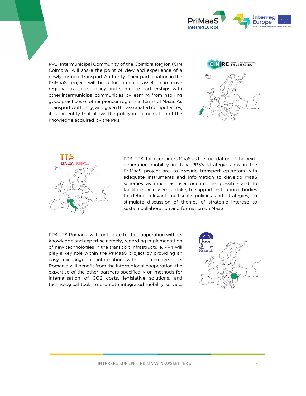

PP2: Intermunicipal Community of the Coimbra Region (CIM Coimbra) will share the point of view and experience of a newly formed Transport Authority. Their participation in the PriMaaS project will be a fundamental asset to improve regional transport policy and stimulate partnerships with other intermunicipal communities, by learning from inspiring good practices of other pioneer regions in terms of MaaS. As Transport Authority, and given the associated competences, it is the entity that allows the policy implementation of the knowledge acquired by the PPs.





PP3: TTS Italia considers MaaS as the foundation of the nextgeneration mobility in Italy. PP3's strategic aims in the PriMaaS project are: to provide transport operators with adequate instruments and information to develop MaaS schemes as much as user oriented as possible and to facilitate their users' uptake; to support institutional bodies to define relevant multiscale policies and strategies; to stimulate discussion of themes of strategic interest; to sustain collaboration and formation on MaaS.

PP4: ITS Romania will contribute to the cooperation with its knowledge and expertise namely, regarding implementation of new technologies in the transport infrastructure. PP4 will play a key role within the PriMaaS project by providing an easy exchange of information with its members. ITS Romania will benefit from the interregional cooperation, the expertise of the other partners specifically on methods for internalisation of CO2 costs, legislative solutions, and technological tools to promote integrated mobility service,

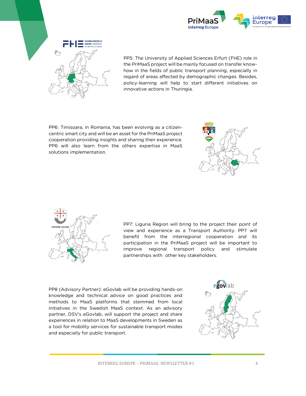



PP5: The University of Applied Sciences Erfurt (FHE) role in the PriMaaS project will be mainly focused on transfer knowhow in the fields of public transport planning, especially in regard of areas affected by demographic changes. Besides, policy-learning will help to start different initiatives on innovative actions in Thuringia.

PP6: Timisoara, in Romania, has been evolving as a citizencentric smart city and will be an asset for the PriMaaS project cooperation providing insights and sharing their experience. PP6 will also learn from the others expertise in MaaS solutions implementation.





PP7: Liguria Region will bring to the project their point of view and experience as a Transport Authority. PP7 will benefit from the interregional cooperation and its participation in the PriMaaS project will be important to improve regional transport policy and stimulate partnerships with other key stakeholders.

PP8 (Advisory Partner): eGovlab will be providing hands-on knowledge and technical advice on good practices and methods to MaaS platforms that stemmed from local initiatives in the Swedish MaaS context. As an advisory partner, DSV's eGovlab, will support the project and share experiences in relation to MaaS developments in Sweden as a tool for mobility services for sustainable transport modes and especially for public transport.

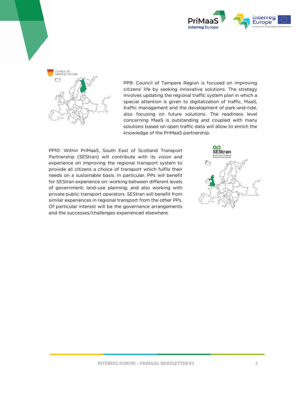



PP9: Council of Tampere Region is focused on improving citizens' life by seeking innovative solutions. The strategy involves updating the regional traffic system plan in which a special attention is given to digitalization of traffic, MaaS, traffic management and the development of park-and-ride, also focusing on future solutions. The readiness level concerning MaaS is outstanding and coupled with many solutions based on open traffic data will allow to enrich the knowledge of the PriMaaS partnership.

PP10: Within PriMaaS, South East of Scotland Transport Partnership (SEStran) will contribute with its vision and experience on improving the regional transport system to provide all citizens a choice of transport which fulfils their needs on a sustainable basis. In particular, PPs will benefit for SEStran experience on: working between different levels of government; land-use planning; and also working with private public transport operators. SEStran will benefit from similar experiences in regional transport from the other PPs. Of particular interest will be the governance arrangements and the successes/challenges experienced elsewhere.

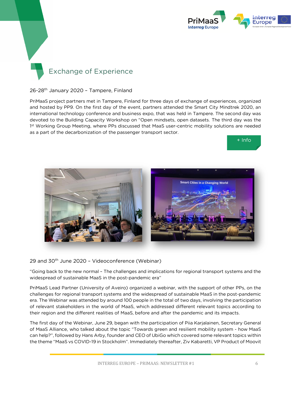

# Exchange of Experience

#### 26-28<sup>th</sup> January 2020 - Tampere, Finland

PriMaaS project partners met in Tampere, Finland for three days of exchange of experiences, organized and hosted by PP9. On the first day of the event, partners attended the Smart City Mindtrek 2020, an international technology conference and business expo, that was held in Tampere. The second day was devoted to the Building Capacity Workshop on "Open mindsets, open datasets. The third day was the 1<sup>st</sup> Working Group Meeting, where PPs discussed that MaaS user-centric mobility solutions are needed as a part of the decarbonization of the passenger transport sector.





29 and 30th June 2020 – Videoconference (Webinar)

"Going back to the new normal – The challenges and implications for regional transport systems and the widespread of sustainable MaaS in the post-pandemic era"

PriMaaS Lead Partner (University of Aveiro) organized a webinar, with the support of other PPs, on the challenges for regional transport systems and the widespread of sustainable MaaS in the post-pandemic era. The Webinar was attended by around 100 people in the total of two days, involving the participation of relevant stakeholders in the world of MaaS, which addressed different relevant topics according to their region and the different realities of MaaS, before and after the pandemic and its impacts.

The first day of the Webinar, June 29, began with the participation of Piia Karjalainen, Secretary General of MaaS Alliance, who talked about the topic "Towards green and resilient mobility system - how MaaS can help?", followed by Hans Arby, founder and CEO of UbiGo which covered some relevant topics within the theme "MaaS vs COVID-19 in Stockholm". Immediately thereafter, Ziv Kabaretti, VP Product of Moovit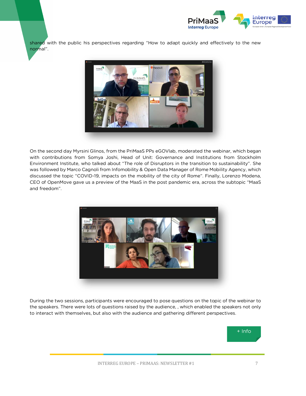

shared with the public his perspectives regarding "How to adapt quickly and effectively to the new normal".



On the second day Myrsini Glinos, from the PriMaaS PPs eGOVlab, moderated the webinar, which began with contributions from Somya Joshi, Head of Unit: Governance and Institutions from Stockholm Environment Institute, who talked about "The role of Disruptors in the transition to sustainability". She was followed by Marco Cagnoli from Infomobility & Open Data Manager of Rome Mobility Agency, which discussed the topic "COVID-19, impacts on the mobility of the city of Rome". Finally, Lorenzo Modena, CEO of OpenMove gave us a preview of the MaaS in the post pandemic era, across the subtopic "MaaS and freedom".



During the two sessions, participants were encouraged to pose questions on the topic of the webinar to the speakers. There were lots of questions raised by the audience, , which enabled the speakers not only to interact with themselves, but also with the audience and gathering different perspectives.

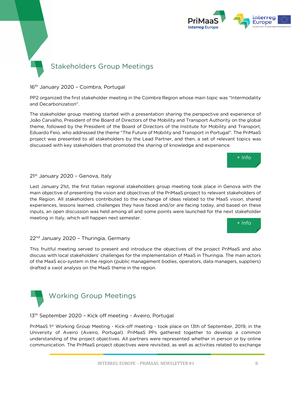

# Stakeholders Group Meetings

16th January 2020 – Coimbra, Portugal

PP2 organized the first stakeholder meeting in the Coimbra Region whose main topic was "Intermodality and Decarbonization".

The stakeholder group meeting started with a presentation sharing the perspective and experience of João Carvalho, President of the Board of Directors of the Mobility and Transport Authority on the global theme, followed by the President of the Board of Directors of the Institute for Mobility and Transport, Eduardo Feio, who addressed the theme "The Future of Mobility and Transport in Portugal". The PriMaaS project was presented to all stakeholders by the Lead Partner, and then, a set of relevant topics was discussed with key stakeholders that promoted the sharing of knowledge and experience.



### 21<sup>st</sup> January 2020 - Genova, Italy

Last January 21st, the first Italian regional stakeholders group meeting took place in Genova with the main objective of presenting the vision and objectives of the PriMaaS project to relevant stakeholders of the Region. All stakeholders contributed to the exchange of ideas related to the MaaS vision, shared experiences, lessons learned, challenges they have faced and/or are facing today, and based on these inputs, an open discussion was held among all and some points were launched for the next stakeholder meeting in Italy, which will happen next semester.



#### 22<sup>nd</sup> January 2020 - Thuringia, Germany

This fruitful meeting served to present and introduce the objectives of the project PriMaaS and also discuss with local stakeholders' challenges for the implementation of MaaS in Thuringia. The main actors of the MaaS eco-system in the region (public management bodies, operators, data managers, suppliers) drafted a swot analysis on the MaaS theme in the region.



13<sup>th</sup> September 2020 - Kick off meeting - Aveiro, Portugal

PriMaaS 1 st Working Group Meeting - Kick-off meeting - took place on 13th of September, 2019, in the University of Aveiro (Aveiro, Portugal). PriMaaS PPs gathered together to develop a common understanding of the project objectives. All partners were represented whether in person or by online communication. The PriMaaS project objectives were revisited, as well as activities related to exchange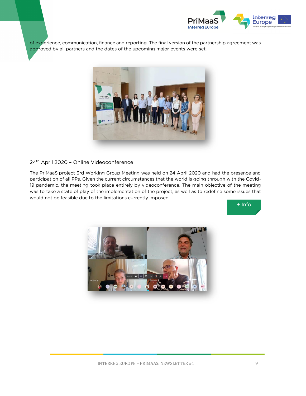

of experience, communication, finance and reporting. The final version of the partnership agreement was approved by all partners and the dates of the upcoming major events were set.



## 24th April 2020 – Online Videoconference

The PriMaaS project 3rd Working Group Meeting was held on 24 April 2020 and had the presence and participation of all PPs. Given the current circumstances that the world is going through with the Covid-19 pandemic, the meeting took place entirely by videoconference. The main objective of the meeting was to take a state of play of the implementation of the project, as well as to redefine some issues that would not be feasible due to the limitations currently imposed.